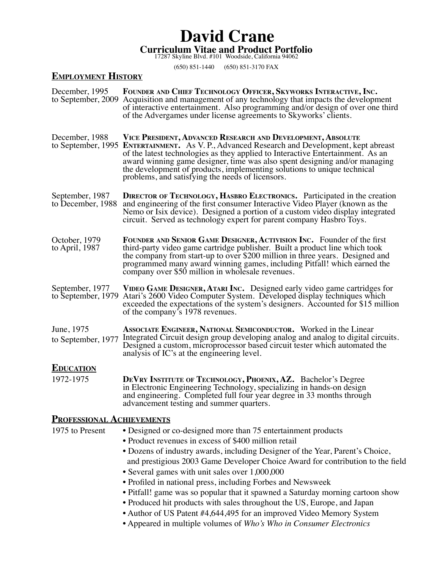# **Curriculum Vitae and Product Portfolio** 17287 Skyline Blvd. #101 Woodside, California 94062 **David Crane**

(650) 851-1440 (650) 851-3170 FAX

### **Employment History**

| December, 1995                        | FOUNDER AND CHIEF TECHNOLOGY OFFICER, SKYWORKS INTERACTIVE, INC.<br>to September, 2009 Acquisition and management of any technology that impacts the development<br>of interactive entertainment. Also programming and/or design of over one third<br>of the Advergames under license agreements to Skyworks' clients.                                                                                                                                                                                                                                                                                                                         |
|---------------------------------------|------------------------------------------------------------------------------------------------------------------------------------------------------------------------------------------------------------------------------------------------------------------------------------------------------------------------------------------------------------------------------------------------------------------------------------------------------------------------------------------------------------------------------------------------------------------------------------------------------------------------------------------------|
| December, 1988                        | VICE PRESIDENT, ADVANCED RESEARCH AND DEVELOPMENT, ABSOLUTE<br>to September, 1995 ENTERTAINMENT. As V. P., Advanced Research and Development, kept abreast<br>of the latest technologies as they applied to Interactive Entertainment. As an<br>award winning game designer, time was also spent designing and/or managing<br>the development of products, implementing solutions to unique technical<br>problems, and satisfying the needs of licensors.                                                                                                                                                                                      |
| September, 1987<br>to December, 1988  | <b>DIRECTOR OF TECHNOLOGY, HASBRO ELECTRONICS.</b> Participated in the creation<br>and engineering of the first consumer Interactive Video Player (known as the<br>Nemo or Isix device). Designed a portion of a custom video display integrated<br>circuit. Served as technology expert for parent company Hasbro Toys.                                                                                                                                                                                                                                                                                                                       |
| October, 1979<br>to April, 1987       | FOUNDER AND SENIOR GAME DESIGNER, ACTIVISION INC. Founder of the first<br>third-party video game cartridge publisher. Built a product line which took<br>the company from start-up to over \$200 million in three years. Designed and<br>programmed many award winning games, including Pitfall! which earned the<br>company over \$50 million in wholesale revenues.                                                                                                                                                                                                                                                                          |
| September, 1977<br>to September, 1979 | VIDEO GAME DESIGNER, ATARI INC. Designed early video game cartridges for<br>Atari's 2600 Video Computer System. Developed display techniques which<br>exceeded the expectations of the system's designers. Accounted for \$15 million<br>of the company's 1978 revenues.                                                                                                                                                                                                                                                                                                                                                                       |
| June, 1975<br>to September, 1977      | <b>ASSOCIATE ENGINEER, NATIONAL SEMICONDUCTOR.</b> Worked in the Linear<br>Integrated Circuit design group developing analog and analog to digital circuits.<br>Designed a custom, microprocessor based circuit tester which automated the<br>analysis of IC's at the engineering level.                                                                                                                                                                                                                                                                                                                                                       |
| <b>EDUCATION</b>                      |                                                                                                                                                                                                                                                                                                                                                                                                                                                                                                                                                                                                                                                |
| 1972-1975                             | DEVRY INSTITUTE OF TECHNOLOGY, PHOENIX, AZ. Bachelor's Degree<br>in Electronic Engineering Technology, specializing in hands-on design<br>and engineering. Completed full four year degree in 33 months through<br>advancement testing and summer quarters.                                                                                                                                                                                                                                                                                                                                                                                    |
| <b>PROFESSIONAL ACHIEVEMENTS</b>      |                                                                                                                                                                                                                                                                                                                                                                                                                                                                                                                                                                                                                                                |
| 1975 to Present                       | • Designed or co-designed more than 75 entertainment products<br>• Product revenues in excess of \$400 million retail<br>• Dozens of industry awards, including Designer of the Year, Parent's Choice,<br>and prestigious 2003 Game Developer Choice Award for contribution to the field<br>• Several games with unit sales over 1,000,000<br>• Profiled in national press, including Forbes and Newsweek<br>• Pitfall! game was so popular that it spawned a Saturday morning cartoon show<br>• Produced hit products with sales throughout the US, Europe, and Japan<br>• Author of US Patent #4,644,495 for an improved Video Memory System |
|                                       | • Appeared in multiple volumes of Who's Who in Consumer Electronics                                                                                                                                                                                                                                                                                                                                                                                                                                                                                                                                                                            |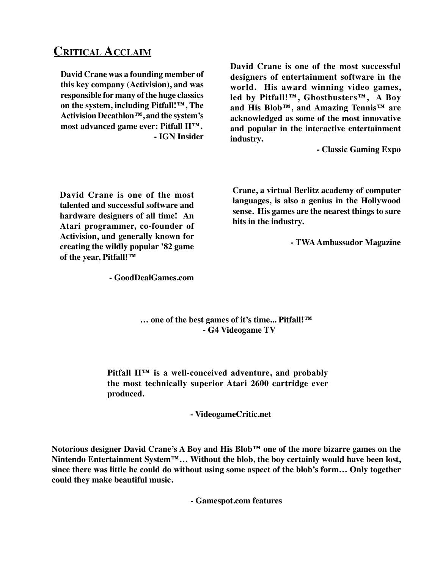## **Critical Acclaim**

**David Crane was a founding member of this key company (Activision), and was responsible for many of the huge classics on the system, including Pitfall!™, The Activision Decathlon™, and the system's most advanced game ever: Pitfall II™. - IGN Insider** **David Crane is one of the most successful designers of entertainment software in the world. His award winning video games, led by Pitfall!™, Ghostbusters™, A Boy and His Blob™, and Amazing Tennis™ are acknowledged as some of the most innovative and popular in the interactive entertainment industry.**

**- Classic Gaming Expo**

**David Crane is one of the most talented and successful software and hardware designers of all time! An Atari programmer, co-founder of Activision, and generally known for creating the wildly popular '82 game of the year, Pitfall!™**

**Crane, a virtual Berlitz academy of computer languages, is also a genius in the Hollywood sense. His games are the nearest things to sure hits in the industry.**

**- TWA Ambassador Magazine**

**- GoodDealGames.com**

**… one of the best games of it's time... Pitfall!™ - G4 Videogame TV**

**Pitfall II™ is a well-conceived adventure, and probably the most technically superior Atari 2600 cartridge ever produced.**

**- VideogameCritic.net**

**Notorious designer David Crane's A Boy and His Blob™ one of the more bizarre games on the Nintendo Entertainment System™… Without the blob, the boy certainly would have been lost, since there was little he could do without using some aspect of the blob's form… Only together could they make beautiful music.**

**- Gamespot.com features**